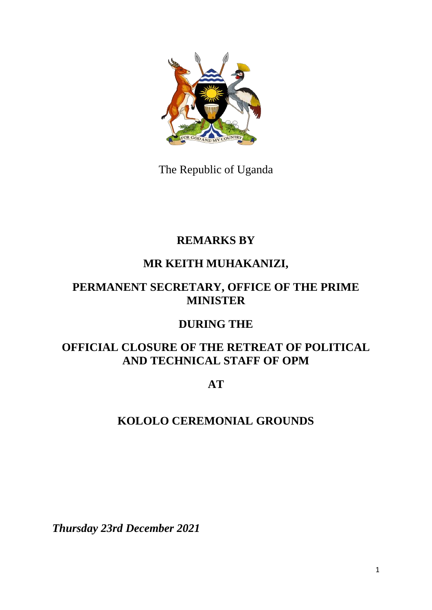

The Republic of Uganda

# **REMARKS BY**

## **MR KEITH MUHAKANIZI,**

#### **PERMANENT SECRETARY, OFFICE OF THE PRIME MINISTER**

## **DURING THE**

#### **OFFICIAL CLOSURE OF THE RETREAT OF POLITICAL AND TECHNICAL STAFF OF OPM**

**AT**

## **KOLOLO CEREMONIAL GROUNDS**

*Thursday 23rd December 2021*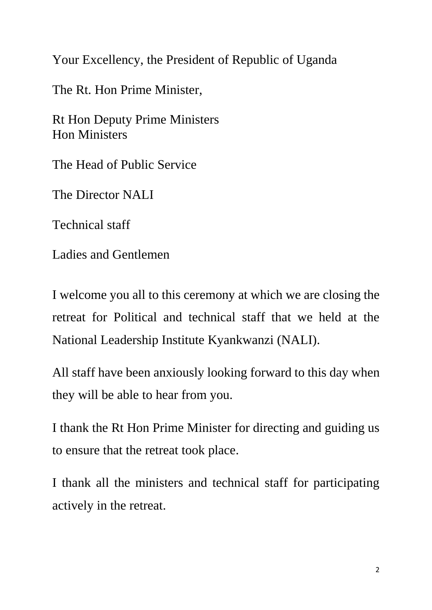Your Excellency, the President of Republic of Uganda

The Rt. Hon Prime Minister,

Rt Hon Deputy Prime Ministers Hon Ministers

The Head of Public Service

The Director NALI

Technical staff

Ladies and Gentlemen

I welcome you all to this ceremony at which we are closing the retreat for Political and technical staff that we held at the National Leadership Institute Kyankwanzi (NALI).

All staff have been anxiously looking forward to this day when they will be able to hear from you.

I thank the Rt Hon Prime Minister for directing and guiding us to ensure that the retreat took place.

I thank all the ministers and technical staff for participating actively in the retreat.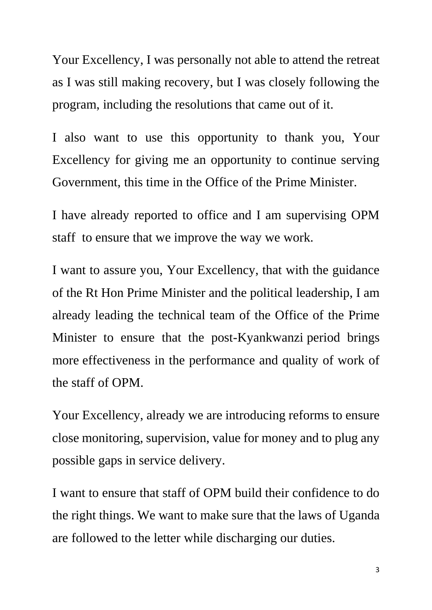Your Excellency, I was personally not able to attend the retreat as I was still making recovery, but I was closely following the program, including the resolutions that came out of it.

I also want to use this opportunity to thank you, Your Excellency for giving me an opportunity to continue serving Government, this time in the Office of the Prime Minister.

I have already reported to office and I am supervising OPM staff to ensure that we improve the way we work.

I want to assure you, Your Excellency, that with the guidance of the Rt Hon Prime Minister and the political leadership, I am already leading the technical team of the Office of the Prime Minister to ensure that the post-Kyankwanzi period brings more effectiveness in the performance and quality of work of the staff of OPM.

Your Excellency, already we are introducing reforms to ensure close monitoring, supervision, value for money and to plug any possible gaps in service delivery.

I want to ensure that staff of OPM build their confidence to do the right things. We want to make sure that the laws of Uganda are followed to the letter while discharging our duties.

3